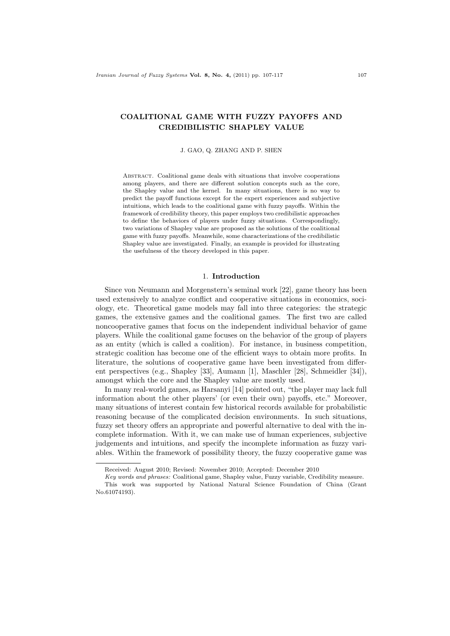# COALITIONAL GAME WITH FUZZY PAYOFFS AND CREDIBILISTIC SHAPLEY VALUE

#### J. GAO, Q. ZHANG AND P. SHEN

Abstract. Coalitional game deals with situations that involve cooperations among players, and there are different solution concepts such as the core, the Shapley value and the kernel. In many situations, there is no way to predict the payoff functions except for the expert experiences and subjective intuitions, which leads to the coalitional game with fuzzy payoffs. Within the framework of credibility theory, this paper employs two credibilistic approaches to define the behaviors of players under fuzzy situations. Correspondingly, two variations of Shapley value are proposed as the solutions of the coalitional game with fuzzy payoffs. Meanwhile, some characterizations of the credibilistic Shapley value are investigated. Finally, an example is provided for illustrating the usefulness of the theory developed in this paper.

#### 1. Introduction

Since von Neumann and Morgenstern's seminal work [22], game theory has been used extensively to analyze conflict and cooperative situations in economics, sociology, etc. Theoretical game models may fall into three categories: the strategic games, the extensive games and the coalitional games. The first two are called noncooperative games that focus on the independent individual behavior of game players. While the coalitional game focuses on the behavior of the group of players as an entity (which is called a coalition). For instance, in business competition, strategic coalition has become one of the efficient ways to obtain more profits. In literature, the solutions of cooperative game have been investigated from different perspectives (e.g., Shapley [33], Aumann [1], Maschler [28], Schmeidler [34]), amongst which the core and the Shapley value are mostly used.

In many real-world games, as Harsanyi [14] pointed out, "the player may lack full information about the other players' (or even their own) payoffs, etc." Moreover, many situations of interest contain few historical records available for probabilistic reasoning because of the complicated decision environments. In such situations, fuzzy set theory offers an appropriate and powerful alternative to deal with the incomplete information. With it, we can make use of human experiences, subjective judgements and intuitions, and specify the incomplete information as fuzzy variables. Within the framework of possibility theory, the fuzzy cooperative game was

Received: August 2010; Revised: November 2010; Accepted: December 2010

Key words and phrases: Coalitional game, Shapley value, Fuzzy variable, Credibility measure. This work was supported by National Natural Science Foundation of China (Grant No.61074193).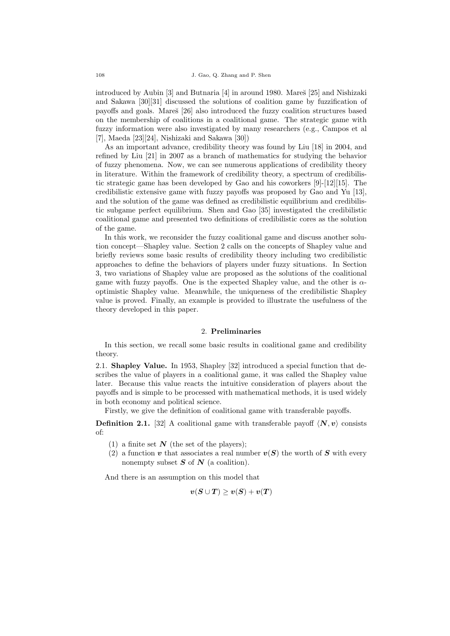introduced by Aubin  $[3]$  and Butnaria  $[4]$  in around 1980. Mare $\S$  [25] and Nishizaki and Sakawa [30][31] discussed the solutions of coalition game by fuzzification of payoffs and goals. Mareš [26] also introduced the fuzzy coalition structures based on the membership of coalitions in a coalitional game. The strategic game with fuzzy information were also investigated by many researchers (e.g., Campos et al [7], Maeda [23][24], Nishizaki and Sakawa [30])

As an important advance, credibility theory was found by Liu [18] in 2004, and refined by Liu [21] in 2007 as a branch of mathematics for studying the behavior of fuzzy phenomena. Now, we can see numerous applications of credibility theory in literature. Within the framework of credibility theory, a spectrum of credibilistic strategic game has been developed by Gao and his coworkers [9]-[12][15]. The credibilistic extensive game with fuzzy payoffs was proposed by Gao and Yu [13], and the solution of the game was defined as credibilistic equilibrium and credibilistic subgame perfect equilibrium. Shen and Gao [35] investigated the credibilistic coalitional game and presented two definitions of credibilistic cores as the solution of the game.

In this work, we reconsider the fuzzy coalitional game and discuss another solution concept—Shapley value. Section 2 calls on the concepts of Shapley value and briefly reviews some basic results of credibility theory including two credibilistic approaches to define the behaviors of players under fuzzy situations. In Section 3, two variations of Shapley value are proposed as the solutions of the coalitional game with fuzzy payoffs. One is the expected Shapley value, and the other is  $\alpha$ optimistic Shapley value. Meanwhile, the uniqueness of the credibilistic Shapley value is proved. Finally, an example is provided to illustrate the usefulness of the theory developed in this paper.

## 2. Preliminaries

In this section, we recall some basic results in coalitional game and credibility theory.

2.1. Shapley Value. In 1953, Shapley [32] introduced a special function that describes the value of players in a coalitional game, it was called the Shapley value later. Because this value reacts the intuitive consideration of players about the payoffs and is simple to be processed with mathematical methods, it is used widely in both economy and political science.

Firstly, we give the definition of coalitional game with transferable payoffs.

**Definition 2.1.** [32] A coalitional game with transferable payoff  $\langle N, v \rangle$  consists of:

- (1) a finite set  $N$  (the set of the players);
- (2) a function  $v$  that associates a real number  $v(S)$  the worth of  $S$  with every nonempty subset  $S$  of  $N$  (a coalition).

And there is an assumption on this model that

$$
\boldsymbol{v}(\boldsymbol{S} \cup \boldsymbol{T}) \geq \boldsymbol{v}(\boldsymbol{S}) + \boldsymbol{v}(\boldsymbol{T})
$$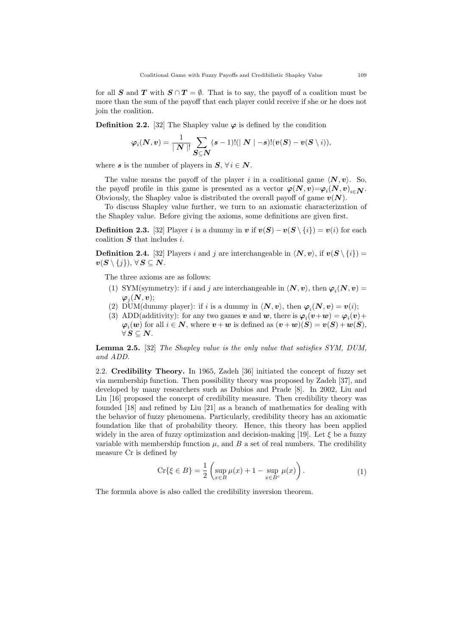for all S and T with  $S \cap T = \emptyset$ . That is to say, the payoff of a coalition must be more than the sum of the payoff that each player could receive if she or he does not join the coalition.

**Definition 2.2.** [32] The Shapley value  $\varphi$  is defined by the condition

$$
\varphi_i(\boldsymbol{N},\boldsymbol{v}) = \frac{1}{\mid \boldsymbol{N} \mid !} \sum_{\boldsymbol{S} \subseteq \boldsymbol{N}} (s-1)! (\mid \boldsymbol{N} \mid -s)! (\boldsymbol{v}(\boldsymbol{S}) - \boldsymbol{v}(\boldsymbol{S} \setminus i)),
$$

where s is the number of players in  $S, \forall i \in \mathbb{N}$ .

The value means the payoff of the player i in a coalitional game  $\langle N, v \rangle$ . So, the payoff profile in this game is presented as a vector  $\varphi(N, v) = \varphi_i(N, v)_{i \in \mathbb{N}}$ . Obviously, the Shapley value is distributed the overall payoff of game  $v(N)$ .

To discuss Shapley value further, we turn to an axiomatic characterization of the Shapley value. Before giving the axioms, some definitions are given first.

**Definition 2.3.** [32] Player *i* is a dummy in  $v$  if  $v(S) - v(S \setminus \{i\}) = v(i)$  for each coalition  $S$  that includes  $i$ .

**Definition 2.4.** [32] Players *i* and *j* are interchangeable in  $\langle N, v \rangle$ , if  $v(S \setminus \{i\})$  $\boldsymbol{v}(\boldsymbol{S} \setminus \{j\}), \forall \boldsymbol{S} \subseteq \boldsymbol{N}.$ 

The three axioms are as follows:

- (1) SYM(symmetry): if i and j are interchangeable in  $\langle N, v \rangle$ , then  $\varphi_i(N, v)$  =  $\boldsymbol{\varphi}_j(\boldsymbol{N},\boldsymbol{v});$
- (2) DUM(dummy player): if *i* is a dummy in  $\langle N, v \rangle$ , then  $\varphi_i(N, v) = v(i)$ ;
- (3) ADD(additivity): for any two games  $v$  and  $w$ , there is  $\varphi_i(v+w) = \varphi_i(v) + \varphi_i(w)$  $\boldsymbol{\varphi}_i(\boldsymbol{w})$  for all  $i \in \boldsymbol{N}$ , where  $\boldsymbol{v} + \boldsymbol{w}$  is defined as  $(\boldsymbol{v} + \boldsymbol{w})(\boldsymbol{S}) = \boldsymbol{v}(\boldsymbol{S}) + \boldsymbol{w}(\boldsymbol{S})$ ,  $\forall S \subseteq N$ .

Lemma 2.5. [32] The Shapley value is the only value that satisfies SYM, DUM, and ADD.

2.2. Credibility Theory. In 1965, Zadeh [36] initiated the concept of fuzzy set via membership function. Then possibility theory was proposed by Zadeh [37], and developed by many researchers such as Dubios and Prade [8]. In 2002, Liu and Liu [16] proposed the concept of credibility measure. Then credibility theory was founded [18] and refined by Liu [21] as a branch of mathematics for dealing with the behavior of fuzzy phenomena. Particularly, credibility theory has an axiomatic foundation like that of probability theory. Hence, this theory has been applied widely in the area of fuzzy optimization and decision-making [19]. Let  $\xi$  be a fuzzy variable with membership function  $\mu$ , and  $\bar{B}$  a set of real numbers. The credibility measure Cr is defined by

$$
\operatorname{Cr}\{\xi \in B\} = \frac{1}{2} \left( \sup_{x \in B} \mu(x) + 1 - \sup_{x \in B^c} \mu(x) \right). \tag{1}
$$

The formula above is also called the credibility inversion theorem.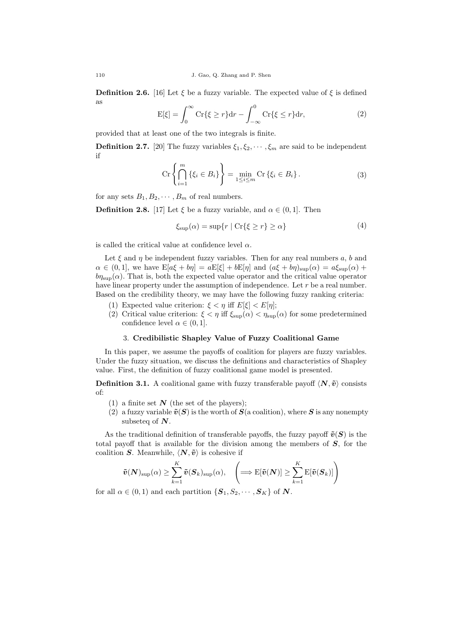**Definition 2.6.** [16] Let  $\xi$  be a fuzzy variable. The expected value of  $\xi$  is defined as

$$
E[\xi] = \int_0^\infty Cr\{\xi \ge r\} dr - \int_{-\infty}^0 Cr\{\xi \le r\} dr,\tag{2}
$$

provided that at least one of the two integrals is finite.

**Definition 2.7.** [20] The fuzzy variables  $\xi_1, \xi_2, \dots, \xi_m$  are said to be independent if

$$
\operatorname{Cr}\left\{\bigcap_{i=1}^{m} \left\{\xi_i \in B_i\right\}\right\} = \min_{1 \le i \le m} \operatorname{Cr}\left\{\xi_i \in B_i\right\}.
$$
 (3)

for any sets  $B_1, B_2, \cdots, B_m$  of real numbers.

**Definition 2.8.** [17] Let  $\xi$  be a fuzzy variable, and  $\alpha \in (0, 1]$ . Then

$$
\xi_{\sup}(\alpha) = \sup\{r \mid \text{Cr}\{\xi \ge r\} \ge \alpha\}\tag{4}
$$

is called the critical value at confidence level  $\alpha$ .

Let  $\xi$  and  $\eta$  be independent fuzzy variables. Then for any real numbers  $a, b$  and  $\alpha \in (0, 1]$ , we have  $\mathbb{E}[a\xi + b\eta] = a\mathbb{E}[\xi] + b\mathbb{E}[\eta]$  and  $(a\xi + b\eta)_{\text{sup}}(\alpha) = a\xi_{\text{sup}}(\alpha) + b\eta$  $b\eta_{\text{sup}}(\alpha)$ . That is, both the expected value operator and the critical value operator have linear property under the assumption of independence. Let  $r$  be a real number. Based on the credibility theory, we may have the following fuzzy ranking criteria:

- (1) Expected value criterion:  $\xi < \eta$  iff  $E[\xi] < E[\eta]$ ;
- (2) Critical value criterion:  $\xi < \eta$  iff  $\xi_{\text{sup}}(\alpha) < \eta_{\text{sup}}(\alpha)$  for some predetermined confidence level  $\alpha \in (0, 1]$ .

### 3. Credibilistic Shapley Value of Fuzzy Coalitional Game

In this paper, we assume the payoffs of coalition for players are fuzzy variables. Under the fuzzy situation, we discuss the definitions and characteristics of Shapley value. First, the definition of fuzzy coalitional game model is presented.

**Definition 3.1.** A coalitional game with fuzzy transferable payoff  $\langle N, \tilde{v} \rangle$  consists of:

- (1) a finite set  $N$  (the set of the players);
- (2) a fuzzy variable  $\tilde{v}(S)$  is the worth of  $S$ (a coalition), where S is any nonempty subseteq of  $N$ .

As the traditional definition of transferable payoffs, the fuzzy payoff  $\tilde{v}(S)$  is the total payoff that is available for the division among the members of  $S$ , for the coalition  $S$ . Meanwhile,  $\langle N, \tilde{v} \rangle$  is cohesive if

$$
\tilde{v}(N)_{\text{sup}}(\alpha) \ge \sum_{k=1}^{K} \tilde{v}(S_k)_{\text{sup}}(\alpha), \quad \left(\Longrightarrow \text{E}[\tilde{v}(N)] \ge \sum_{k=1}^{K} \text{E}[\tilde{v}(S_k)]\right)
$$

for all  $\alpha \in (0, 1)$  and each partition  $\{S_1, S_2, \cdots, S_K\}$  of  $N$ .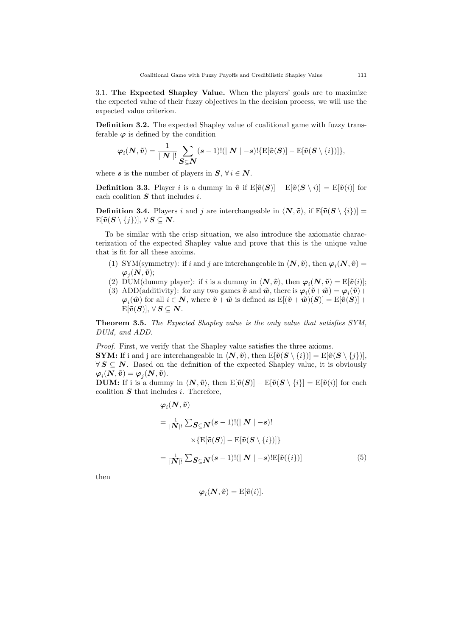3.1. The Expected Shapley Value. When the players' goals are to maximize the expected value of their fuzzy objectives in the decision process, we will use the expected value criterion.

Definition 3.2. The expected Shapley value of coalitional game with fuzzy transferable  $\varphi$  is defined by the condition

$$
\varphi_i(\mathbf{N}, \tilde{\mathbf{v}}) = \frac{1}{|\mathbf{N}|!} \sum_{\mathbf{S} \subseteq \mathbf{N}} (s-1)! (|\mathbf{N}| - s)! \{ \mathbf{E}[\tilde{\mathbf{v}}(\mathbf{S})] - \mathbf{E}[\tilde{\mathbf{v}}(\mathbf{S} \setminus \{i\})] \},
$$

where s is the number of players in  $S, \forall i \in \mathbb{N}$ .

**Definition 3.3.** Player *i* is a dummy in  $\tilde{v}$  if  $E[\tilde{v}(S)] - E[\tilde{v}(S \setminus i)] = E[\tilde{v}(i)]$  for each coalition  $S$  that includes  $i$ .

**Definition 3.4.** Players *i* and *j* are interchangeable in  $\langle \mathbf{N}, \tilde{\mathbf{v}} \rangle$ , if  $\mathbb{E}[\tilde{\mathbf{v}}(\mathbf{S} \setminus \{i\})]$  $\mathbb{E}[\tilde{\bm{v}}(\bm{S} \setminus \{j\})], \forall \bm{S} \subseteq \bm{N}.$ 

To be similar with the crisp situation, we also introduce the axiomatic characterization of the expected Shapley value and prove that this is the unique value that is fit for all these axoims.

- (1) SYM(symmetry): if i and j are interchangeable in  $\langle N, \tilde{v} \rangle$ , then  $\varphi_i(N, \tilde{v})$  =  $\boldsymbol{\varphi}_j(\boldsymbol{N}, \boldsymbol{\tilde{v}});$
- (2) DUM(dummy player): if *i* is a dummy in  $\langle \mathbf{N}, \tilde{\mathbf{v}} \rangle$ , then  $\varphi_i(\mathbf{N}, \tilde{\mathbf{v}}) = \mathrm{E}[\tilde{\mathbf{v}}(i)]$ ;
- (3) ADD(additivity): for any two games  $\tilde{v}$  and  $\tilde{w}$ , there is  $\varphi_i(\tilde{v}+\tilde{w}) = \varphi_i(\tilde{v}) + \varphi_i(\tilde{w})$  $\boldsymbol{\varphi}_i(\tilde{\boldsymbol{w}})$  for all  $i \in \boldsymbol{N}$ , where  $\tilde{\boldsymbol{v}} + \tilde{\boldsymbol{w}}$  is defined as  $\text{E}[(\tilde{\boldsymbol{v}} + \tilde{\boldsymbol{w}})(\boldsymbol{S})] = \text{E}[\tilde{\boldsymbol{v}}(\boldsymbol{S})] +$  $\mathrm{E}[\tilde{\boldsymbol{v}}(\boldsymbol{S})], \forall \, \boldsymbol{S} \subseteq \boldsymbol{N}.$

Theorem 3.5. The Expected Shapley value is the only value that satisfies SYM, DUM, and ADD.

Proof. First, we verify that the Shapley value satisfies the three axioms. **SYM:** If i and j are interchangeable in  $\langle \mathbf{N}, \tilde{\boldsymbol{\nu}} \rangle$ , then  $E[\tilde{\boldsymbol{\nu}}(\mathbf{S} \setminus \{i\})] = E[\tilde{\boldsymbol{\nu}}(\mathbf{S} \setminus \{j\})],$  $\forall S \subseteq N$ . Based on the definition of the expected Shapley value, it is obviously  $\boldsymbol{\varphi}_i(\boldsymbol{N}, \boldsymbol{\tilde{v}}) = \boldsymbol{\varphi}_j(\boldsymbol{N}, \boldsymbol{\tilde{v}}).$ 

**DUM:** If i is a dummy in  $\langle \mathbf{N}, \tilde{\mathbf{v}} \rangle$ , then  $\mathbb{E}[\tilde{\mathbf{v}}(\mathbf{S})] - \mathbb{E}[\tilde{\mathbf{v}}(\mathbf{S} \setminus \{i\}] = \mathbb{E}[\tilde{\mathbf{v}}(i)]$  for each coalition  $S$  that includes  $i$ . Therefore,

$$
\varphi_i(\mathbf{N}, \tilde{\mathbf{v}})
$$
\n
$$
= \frac{1}{|\mathbf{N}|!} \sum_{\mathbf{S} \subseteq \mathbf{N}} (s-1)! (|\mathbf{N}| - s)!
$$
\n
$$
\times \{ \mathbf{E}[\tilde{\mathbf{v}}(\mathbf{S})] - \mathbf{E}[\tilde{\mathbf{v}}(\mathbf{S} \setminus \{i\})] \}
$$
\n
$$
= \frac{1}{|\mathbf{N}|!} \sum_{\mathbf{S} \subseteq \mathbf{N}} (s-1)! (|\mathbf{N}| - s)! \mathbf{E}[\tilde{\mathbf{v}}(\{i\})]
$$
\n(5)

then

$$
\boldsymbol{\varphi}_i(\boldsymbol{N}, \boldsymbol{\tilde{v}}) = \mathrm{E}[\boldsymbol{\tilde{v}}(i)].
$$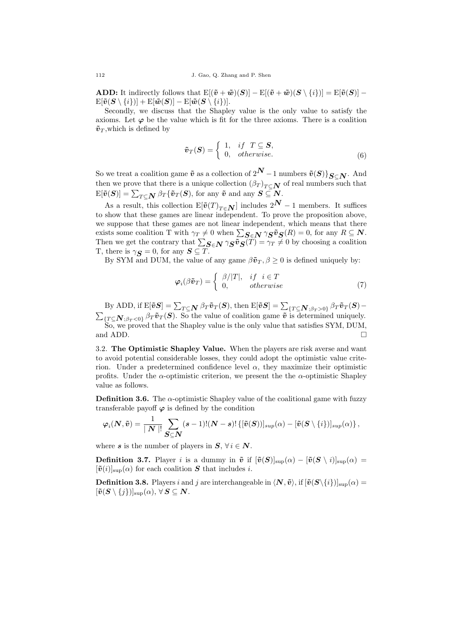**ADD:** It indirectly follows that  $E[(\tilde{v} + \tilde{w})(S)] - E[(\tilde{v} + \tilde{w})(S \setminus \{i\})] = E[\tilde{v}(S)] \mathbb{E}[\tilde{\bm{v}}(\bm{S} \setminus \{i\})] + \mathbb{E}[\tilde{\bm{w}}(\bm{S})] - \mathbb{E}[\tilde{\bm{w}}(\bm{S} \setminus \{i\})].$ 

Secondly, we discuss that the Shapley value is the only value to satisfy the axioms. Let  $\varphi$  be the value which is fit for the three axioms. There is a coalition  $\tilde{\mathbf{v}}_T$ , which is defined by

$$
\tilde{\boldsymbol{v}}_T(\boldsymbol{S}) = \begin{cases} 1, & if \ T \subseteq \boldsymbol{S}, \\ 0, & otherwise. \end{cases}
$$
\n(6)

So we treat a coalition game  $\tilde{v}$  as a collection of  $2^N - 1$  numbers  $\tilde{v}(S)$ } $_{S \subset N}$ . And then we prove that there is a unique collection  $(\beta_T)_{T \subset \mathbb{N}}$  of real numbers such that  $\mathbb{E}[\tilde{\bm{v}}(\bm{S})] = \sum_{T \subseteq \bm{N}} \beta_T \{\tilde{\bm{v}}_T(\bm{S}), \text{ for any } \tilde{\bm{v}} \text{ and any } \bm{S} \subseteq \bm{N}.$ 

As a result, this collection  $E[\tilde{v}(T)_{T \in \mathbb{N}}]$  includes  $2^{\mathbb{N}} - 1$  members. It suffices to show that these games are linear independent. To prove the proposition above, we suppose that these games are not linear independent, which means that there exists some coalition T with  $\gamma_T \neq 0$  when  $\sum_{S \in \mathbb{N}} \gamma_S \tilde{v}_S(R) = 0$ , for any  $R \subseteq \mathbb{N}$ . Then we get the contrary that  $\sum_{S \in N} \gamma_S \tilde{v}_S(T) = \gamma_T \neq 0$  by choosing a coalition T, there is  $\gamma_{\mathbf{S}} = 0$ , for any  $\mathbf{S} \subseteq T$ .

By SYM and DUM, the value of any game  $\beta \tilde{\mathbf{v}}_T, \beta \geq 0$  is defined uniquely by:

$$
\varphi_i(\beta \tilde{\boldsymbol{v}}_T) = \begin{cases} \beta/|T|, & if \ i \in T \\ 0, & otherwise \end{cases}
$$
\n(7)

By ADD, if  $\mathrm{E}[\tilde{v}\boldsymbol{S}] = \sum_{T\subseteq \boldsymbol{N}} \beta_T \tilde{v}_T(\boldsymbol{S}),$  then  $\mathrm{E}[\tilde{v}\boldsymbol{S}] = \sum_{\{T\subseteq \boldsymbol{N}; \beta_T > 0\}} \beta_T \tilde{v}_T(\boldsymbol{S}) \sum_{\{T \subseteq \mathbf{N}; \beta_T < 0\}} \beta_T \tilde{v}_T(\mathbf{S})$ . So the value of coalition game  $\tilde{v}$  is determined uniquely. So, we proved that the Shapley value is the only value that satisfies SYM, DUM, and ADD.  $\Box$ 

3.2. The Optimistic Shapley Value. When the players are risk averse and want to avoid potential considerable losses, they could adopt the optimistic value criterion. Under a predetermined confidence level  $\alpha$ , they maximize their optimistic profits. Under the  $\alpha$ -optimistic criterion, we present the the  $\alpha$ -optimistic Shapley value as follows.

**Definition 3.6.** The  $\alpha$ -optimistic Shapley value of the coalitional game with fuzzy transferable payoff  $\varphi$  is defined by the condition

$$
\varphi_i(\boldsymbol{N}, \tilde{\boldsymbol{v}}) = \frac{1}{\mid \boldsymbol{N} \mid} \sum_{\boldsymbol{S} \subseteq \boldsymbol{N}}^{} (s-1)! (\boldsymbol{N} - \boldsymbol{s})! \left\{ [\tilde{\boldsymbol{v}}(\boldsymbol{S}))]_{sup}(\alpha) - [\tilde{\boldsymbol{v}}(\boldsymbol{S} \setminus \{i\})]_{sup}(\alpha) \right\},
$$

where s is the number of players in  $S, \forall i \in \mathbb{N}$ .

**Definition 3.7.** Player *i* is a dummy in  $\tilde{v}$  if  $[\tilde{v}(S)]_{\text{sun}}(\alpha) - [\tilde{v}(S \setminus i)]_{\text{sun}}(\alpha) =$  $[\tilde{\mathbf{v}}(i)]_{\text{sup}}(\alpha)$  for each coalition  $\mathbf{S}$  that includes *i*.

**Definition 3.8.** Players *i* and *j* are interchangeable in  $\langle N, \tilde{v} \rangle$ , if  $[\tilde{v}(S\setminus\{i\})]_{\text{sup}}(\alpha) =$  $[\tilde{v}(S \setminus \{j\})]_{\text{sup}}(\alpha), \forall S \subseteq N.$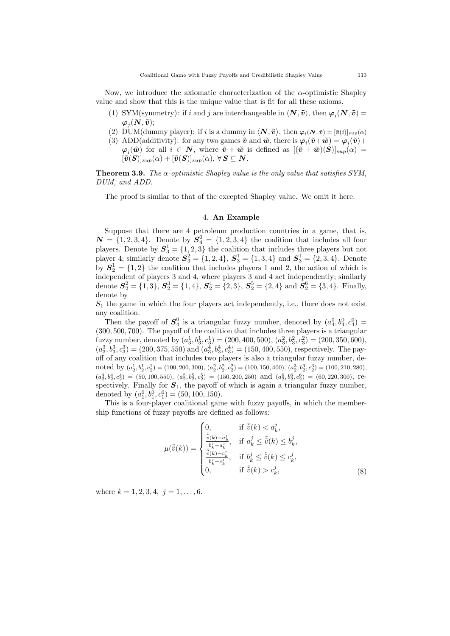Now, we introduce the axiomatic characterization of the  $\alpha$ -optimistic Shapley value and show that this is the unique value that is fit for all these axioms.

- (1) SYM(symmetry): if i and j are interchangeable in  $\langle N, \tilde{v} \rangle$ , then  $\varphi_i(N, \tilde{v})$  =  $\boldsymbol{\varphi}_j(\boldsymbol{N}, \boldsymbol{\tilde{v}});$
- (2) DUM(dummy player): if *i* is a dummy in  $\langle \mathbf{N}, \tilde{\mathbf{v}} \rangle$ , then  $\varphi_i(\mathbf{N}, \tilde{\mathbf{v}}) = [\tilde{\mathbf{v}}(i)]_{sup}(\alpha)$
- (3) ADD(additivity): for any two games  $\tilde{v}$  and  $\tilde{w}$ , there is  $\varphi_i(\tilde{v}+\tilde{w}) = \varphi_i(\tilde{v}) + \varphi_i(\tilde{v})$  $\varphi_i(\tilde{w})$  for all  $i \in \mathbb{N}$ , where  $\tilde{v} + \tilde{w}$  is defined as  $[(\tilde{v} + \tilde{w})(S)]_{sup}(\alpha) =$  $[\tilde{\bm{v}}(\bm{S})]_{sup}(\alpha) + [\tilde{\bm{v}}(\bm{S})]_{sup}(\alpha), \forall \bm{S} \subseteq \bm{N}.$

**Theorem 3.9.** The  $\alpha$ -optimistic Shapley value is the only value that satisfies SYM, DUM, and ADD.

The proof is similar to that of the excepted Shapley value. We omit it here.

### 4. An Example

Suppose that there are 4 petroleum production countries in a game, that is,  $\mathbf{N} = \{1, 2, 3, 4\}$ . Denote by  $\mathbf{S}_4^0 = \{1, 2, 3, 4\}$  the coalition that includes all four players. Denote by  $S_3^1 = \{1, 2, 3\}$  the coalition that includes three players but not player 4; similarly denote  $S_3^2 = \{1, 2, 4\}$ ,  $S_3^1 = \{1, 3, 4\}$  and  $S_3^1 = \{2, 3, 4\}$ . Denote by  $S_2^1 = \{1, 2\}$  the coalition that includes players 1 and 2, the action of which is independent of players 3 and 4, where players 3 and 4 act independently; similarly denote  $S_2^2 = \{1,3\}, S_2^3 = \{1,4\}, S_2^4 = \{2,3\}, S_2^5 = \{2,4\}$  and  $S_2^6 = \{3,4\}.$  Finally, denote by

 $S_1$  the game in which the four players act independently, i.e., there does not exist any coalition.

Then the payoff of  $S_4^0$  is a triangular fuzzy number, denoted by  $(a_4^0, b_4^0, c_4^0)$  = (300, 500, 700). The payoff of the coalition that includes three players is a triangular fuzzy number, denoted by  $(a_3^1, b_3^1, c_3^1) = (200, 400, 500), (a_3^2, b_3^2, c_3^2) = (200, 350, 600),$  $(a_3^3, b_3^3, c_3^3) = (200, 375, 550)$  and  $(a_3^4, b_3^4, c_3^4) = (150, 400, 550)$ , respectively. The payoff of any coalition that includes two players is also a triangular fuzzy number, denoted by  $(a_2^1, b_2^1, c_2^1) = (100, 200, 300), (a_2^2, b_2^2, c_2^2) = (100, 150, 400), (a_2^3, b_2^3, c_2^3) = (100, 210, 280),$  $(a_2^4, b_2^4, c_2^4) = (50, 100, 550), (a_2^5, b_2^5, c_2^5) = (150, 200, 250) \text{ and } (a_2^6, b_2^6, c_2^6) = (60, 220, 300), \text{ respectively}$ spectively. Finally for  $S_1$ , the payoff of which is again a triangular fuzzy number, denoted by  $(a_1^0, b_1^0, c_1^0) = (50, 100, 150)$ .

This is a four-player coalitional game with fuzzy payoffs, in which the membership functions of fuzzy payoffs are defined as follows:

$$
\mu(\tilde{\tilde{v}}(k)) = \begin{cases}\n0, & \text{if } \tilde{\tilde{v}}(k) < a_k^j, \\
\frac{\tilde{\tilde{v}}(k) - a_k^j}{b_k^j - a_k^j}, & \text{if } a_k^j \leq \tilde{\tilde{v}}(k) \leq b_k^j, \\
\frac{\tilde{\tilde{v}}(k) - c_k^j}{b_k^j - c_k^j}, & \text{if } b_k^j \leq \tilde{\tilde{v}}(k) \leq c_k^j, \\
0, & \text{if } \tilde{\tilde{v}}(k) > c_k^j,\n\end{cases}
$$
\n
$$
(8)
$$

where  $k = 1, 2, 3, 4, j = 1, \ldots, 6$ .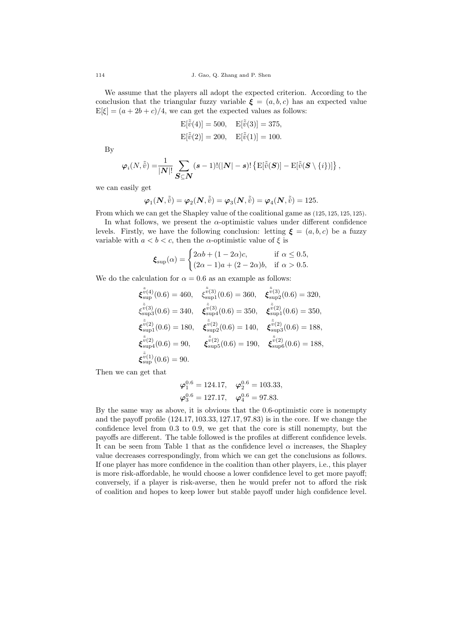We assume that the players all adopt the expected criterion. According to the conclusion that the triangular fuzzy variable  $\xi = (a, b, c)$  has an expected value  $E[\xi] = (a + 2b + c)/4$ , we can get the expected values as follows:

$$
E[\tilde{\tilde{v}}(4)] = 500, \quad E[\tilde{\tilde{v}}(3)] = 375, E[\tilde{\tilde{v}}(2)] = 200, \quad E[\tilde{\tilde{v}}(1)] = 100.
$$

By

$$
\varphi_i(N,\tilde{\tilde{v}}) = \frac{1}{|N|!} \sum_{\mathbf{S} \subseteq \mathbf{N}} (s-1)! (|\mathbf{N}| - s)! \left\{ \mathbf{E}[\tilde{\tilde{v}}(\mathbf{S})] - \mathbf{E}[\tilde{\tilde{v}}(\mathbf{S} \setminus \{i\})] \right\},\,
$$

we can easily get

$$
\boldsymbol{\varphi}_1(\boldsymbol{N}, \tilde{\tilde{v}}) = \boldsymbol{\varphi}_2(\boldsymbol{N}, \tilde{\tilde{v}}) = \boldsymbol{\varphi}_3(\boldsymbol{N}, \tilde{\tilde{v}}) = \boldsymbol{\varphi}_4(\boldsymbol{N}, \tilde{\tilde{v}}) = 125.
$$

From which we can get the Shapley value of the coalitional game as (125, 125, 125, 125).

In what follows, we present the  $\alpha$ -optimistic values under different confidence levels. Firstly, we have the following conclusion: letting  $\xi = (a, b, c)$  be a fuzzy variable with  $a < b < c$ , then the  $\alpha$ -optimistic value of  $\xi$  is

$$
\boldsymbol{\xi}_{\text{sup}}(\alpha) = \begin{cases} 2\alpha b + (1 - 2\alpha)c, & \text{if } \alpha \le 0.5, \\ (2\alpha - 1)a + (2 - 2\alpha)b, & \text{if } \alpha > 0.5. \end{cases}
$$

We do the calculation for  $\alpha = 0.6$  as an example as follows:

$$
\begin{aligned}\n\boldsymbol{\xi}_{\text{sup}}^{\tilde{v}(4)}(0.6) &= 460, & \boldsymbol{\xi}_{\text{sup}}^{\tilde{v}(3)}(0.6) &= 360, & \boldsymbol{\xi}_{\text{sup}}^{\tilde{v}(3)}(0.6) &= 320, \\
\boldsymbol{\xi}_{\text{sup}}^{\tilde{v}(3)}(0.6) &= 340, & \boldsymbol{\xi}_{\text{sup}}^{\tilde{v}(3)}(0.6) &= 350, & \boldsymbol{\xi}_{\text{sup}}^{\tilde{v}(2)}(0.6) &= 350, \\
\boldsymbol{\xi}_{\text{sup}}^{\tilde{v}(2)}(0.6) &= 180, & \boldsymbol{\xi}_{\text{sup}}^{\tilde{v}(2)}(0.6) &= 140, & \boldsymbol{\xi}_{\text{sup}}^{\tilde{v}(2)}(0.6) &= 188, \\
\boldsymbol{\xi}_{\text{sup}}^{\tilde{v}(2)}(0.6) &= 90, & \boldsymbol{\xi}_{\text{sup}}^{\tilde{v}(2)}(0.6) &= 190, & \boldsymbol{\xi}_{\text{sup}}^{\tilde{v}(2)}(0.6) &= 188, \\
\boldsymbol{\xi}_{\text{sup}}^{\tilde{v}(1)}(0.6) &= 90, & \boldsymbol{\xi}_{\text{sup}}^{\tilde{v}(2)}(0.6) &= 190, & \boldsymbol{\xi}_{\text{sup}}^{\tilde{v}(2)}(0.6) &= 188,\n\end{aligned}
$$

Then we can get that

$$
\varphi_1^{0.6} = 124.17, \quad \varphi_2^{0.6} = 103.33,
$$
  
 $\varphi_3^{0.6} = 127.17, \quad \varphi_4^{0.6} = 97.83.$ 

By the same way as above, it is obvious that the 0.6-optimistic core is nonempty and the payoff profile  $(124.17, 103.33, 127.17, 97.83)$  is in the core. If we change the confidence level from 0.3 to 0.9, we get that the core is still nonempty, but the payoffs are different. The table followed is the profiles at different confidence levels. It can be seen from Table 1 that as the confidence level  $\alpha$  increases, the Shapley value decreases correspondingly, from which we can get the conclusions as follows. If one player has more confidence in the coalition than other players, i.e., this player is more risk-affordable, he would choose a lower confidence level to get more payoff; conversely, if a player is risk-averse, then he would prefer not to afford the risk of coalition and hopes to keep lower but stable payoff under high confidence level.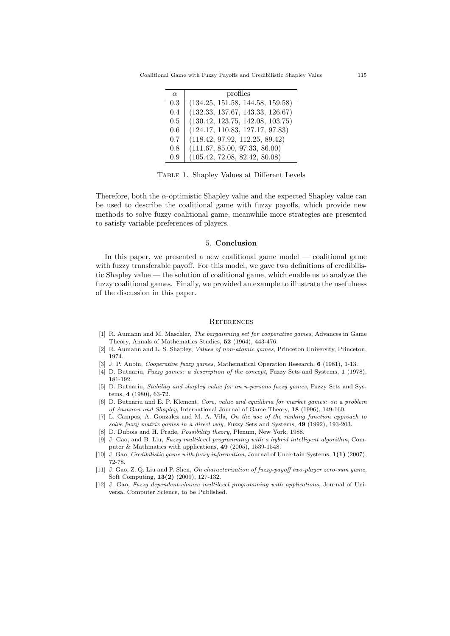Coalitional Game with Fuzzy Payoffs and Credibilistic Shapley Value 115

| $\alpha$ | profiles                         |
|----------|----------------------------------|
| 0.3      | (134.25, 151.58, 144.58, 159.58) |
| 0.4      | (132.33, 137.67, 143.33, 126.67) |
| 0.5      | (130.42, 123.75, 142.08, 103.75) |
| 0.6      | (124.17, 110.83, 127.17, 97.83)  |
| 0.7      | (118.42, 97.92, 112.25, 89.42)   |
| 0.8      | (111.67, 85.00, 97.33, 86.00)    |
| 0.9      | (105.42, 72.08, 82.42, 80.08)    |

Table 1. Shapley Values at Different Levels

Therefore, both the  $\alpha$ -optimistic Shapley value and the expected Shapley value can be used to describe the coalitional game with fuzzy payoffs, which provide new methods to solve fuzzy coalitional game, meanwhile more strategies are presented to satisfy variable preferences of players.

### 5. Conclusion

In this paper, we presented a new coalitional game model — coalitional game with fuzzy transferable payoff. For this model, we gave two definitions of credibilistic Shapley value — the solution of coalitional game, which enable us to analyze the fuzzy coalitional games. Finally, we provided an example to illustrate the usefulness of the discussion in this paper.

#### **REFERENCES**

- [1] R. Aumann and M. Maschler, The bargainning set for cooperative games, Advances in Game Theory, Annals of Mathematics Studies, 52 (1964), 443-476.
- [2] R. Aumann and L. S. Shapley, Values of non-atomic games, Princeton University, Princeton, 1974.
- J. P. Aubin, Cooperative fuzzy games, Mathematical Operation Research, 6 (1981), 1-13.
- [4] D. Butnariu, Fuzzy games: a description of the concept, Fuzzy Sets and Systems, 1 (1978), 181-192.
- [5] D. Butnariu, Stability and shapley value for an n-persons fuzzy games, Fuzzy Sets and Systems, 4 (1980), 63-72.
- [6] D. Butnariu and E. P. Klement, Core, value and equilibria for market games: on a problem of Aumann and Shapley, International Journal of Game Theory, 18 (1996), 149-160.
- [7] L. Campos, A. Gonzalez and M. A. Vila, On the use of the ranking function approach to solve fuzzy matrix games in a direct way, Fuzzy Sets and Systems, 49 (1992), 193-203.
- [8] D. Dubois and H. Prade, Possibility theory, Plenum, New York, 1988.
- [9] J. Gao, and B. Liu, Fuzzy multilevel programming with a hybrid intelligent algorithm, Computer & Mathmatics with applications, 49 (2005), 1539-1548.
- [10] J. Gao, Credibilistic game with fuzzy information, Journal of Uncertain Systems,  $1(1)$  (2007), 72-78.
- [11] J. Gao, Z. Q. Liu and P. Shen, On characterization of fuzzy-payoff two-player zero-sum game, Soft Computing, 13(2) (2009), 127-132.
- [12] J. Gao, Fuzzy dependent-chance multilevel programming with applications, Journal of Universal Computer Science, to be Published.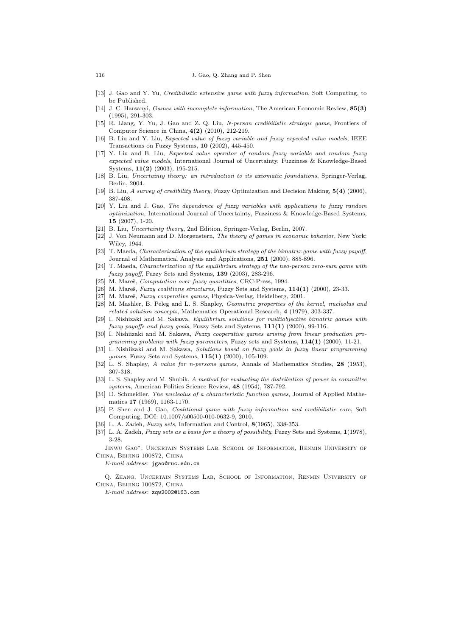#### 116 J. Gao, Q. Zhang and P. Shen

- [13] J. Gao and Y. Yu, Credibilistic extensive game with fuzzy information, Soft Computing, to be Published.
- [14] J. C. Harsanyi, Games with incomplete information, The American Economic Review, 85(3) (1995), 291-303.
- [15] R. Liang, Y. Yu, J. Gao and Z. Q. Liu, N-person credibilistic strategic game, Frontiers of Computer Science in China, 4(2) (2010), 212-219.
- [16] B. Liu and Y. Liu, Expected value of fuzzy variable and fuzzy expected value models, IEEE Transactions on Fuzzy Systems, 10 (2002), 445-450.
- [17] Y. Liu and B. Liu, Expected value operator of random fuzzy variable and random fuzzy expected value models, International Journal of Uncertainty, Fuzziness & Knowledge-Based Systems, 11(2) (2003), 195-215.
- [18] B. Liu, Uncertainty theory: an introduction to its axiomatic foundations, Springer-Verlag, Berlin, 2004.
- [19] B. Liu, A survey of credibility theory, Fuzzy Optimization and Decision Making, 5(4) (2006), 387-408.
- [20] Y. Liu and J. Gao, The dependence of fuzzy variables with applications to fuzzy random optimization, International Journal of Uncertainty, Fuzziness & Knowledge-Based Systems,  $15 (2007)$ , 1-20.
- [21] B. Liu, Uncertainty theory, 2nd Edition, Springer-Verlag, Berlin, 2007.
- [22] J. Von Neumann and D. Morgenstern, The theory of games in economic bahavior, New York: Wiley, 1944.
- [23] T. Maeda, Characterization of the equilibrium strategy of the bimatrix game with fuzzy payoff, Journal of Mathematical Analysis and Applications, 251 (2000), 885-896.
- [24] T. Maeda, Characterization of the equilibrium strategy of the two-person zero-sum game with fuzzy payoff, Fuzzy Sets and Systems, 139 (2003), 283-296.
- [25] M. Mareš, *Computation over fuzzy quantities*, CRC-Press, 1994.
- [26] M. Mareš, Fuzzy coalitions structures, Fuzzy Sets and Systems,  $114(1)$  (2000), 23-33.
- [27] M. Mareš, Fuzzy cooperative games, Physica-Verlag, Heidelberg, 2001.
- [28] M. Mashler, B. Peleg and L. S. Shapley, Geometric properties of the kernel, nucleolus and related solution concepts, Mathematics Operational Research, 4 (1979), 303-337.
- [29] I. Nishizaki and M. Sakawa, Equilibrium solutions for multiobjective bimatrix games with fuzzy payoffs and fuzzy goals, Fuzzy Sets and Systems, 111(1) (2000), 99-116.
- [30] I. Nishiizaki and M. Sakawa, Fuzzy cooperative games arising from linear production programming problems with fuzzy parameters, Fuzzy sets and Systems, 114(1) (2000), 11-21.
- [31] I. Nishiizaki and M. Sakawa, Solutions based on fuzzy goals in fuzzy linear programming games, Fuzzy Sets and Systems,  $115(1)$  (2000), 105-109.
- [32] L. S. Shapley, A value for n-persons games, Annals of Mathematics Studies, 28 (1953), 307-318.
- [33] L. S. Shapley and M. Shubik, A method for evaluating the distribution of power in committee systerm, American Politics Science Review, 48 (1954), 787-792.
- [34] D. Schmeidler, The nucleolus of a characteristic function games, Journal of Applied Mathematics 17 (1969), 1163-1170.
- [35] P. Shen and J. Gao, *Coalitional game with fuzzy information and credibilistic core*, Soft Computing, DOI: 10.1007/s00500-010-0632-9, 2010.
- [36] L. A. Zadeh, *Fuzzy sets*, Information and Control, **8**(1965), 338-353.
- [37] L. A. Zadeh, Fuzzy sets as a basis for a theory of possibility, Fuzzy Sets and Systems, 1(1978), 3-28.

Jinwu Gao∗, Uncertain Systems Lab, School of Information, Renmin University of China, Beijing 100872, China

E-mail address: jgao@ruc.edu.cn

Q. Zhang, Uncertain Systems Lab, School of Information, Renmin University of China, Beijing 100872, China

E-mail address: zqw2002@163.com